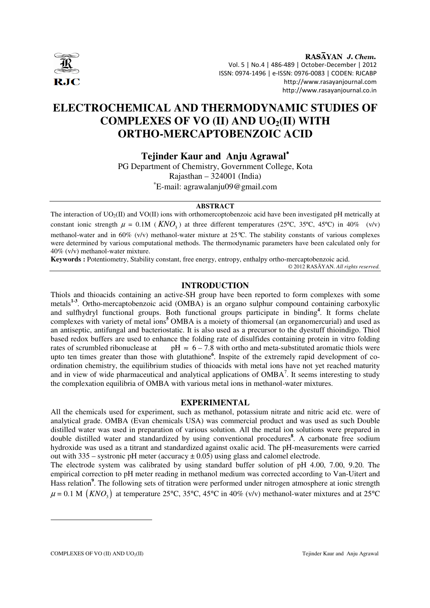

RASAYAN J. Chem. Vol. 5 | No.4 | 486-489 | October-December | 2012 ISSN: 0974-1496 | e-ISSN: 0976-0083 | CODEN: RJCABP http://www.rasayanjournal.com http://www.rasayanjournal.co.in

# **ELECTROCHEMICAL AND THERMODYNAMIC STUDIES OF COMPLEXES OF VO (II) AND UO2(II) WITH ORTHO-MERCAPTOBENZOIC ACID**

**Tejinder Kaur and Anju Agrawal**<sup>∗</sup>

PG Department of Chemistry, Government College, Kota Rajasthan – 324001 (India) <sup>∗</sup>E-mail: agrawalanju09@gmail.com

#### **ABSTRACT**

The interaction of  $UO_2(\Pi)$  and  $VO(\Pi)$  ions with orthomercoptobenzoic acid have been investigated pH metrically at constant ionic strength  $\mu = 0.1M$  ( $\text{KNO}_3$ ) at three different temperatures (25°C, 35°C, 45°C) in 40% (v/v) methanol-water and in 60% (v/v) methanol-water mixture at 25°C. The stability constants of various complexes were determined by various computational methods. The thermodynamic parameters have been calculated only for 40% (v/v) methanol-water mixture.

**Keywords :** Potentiometry, Stability constant, free energy, entropy, enthalpy ortho-mercaptobenzoic acid.

© 2012 RASĀYAN. *All rights reserved.*

#### **INTRODUCTION**

Thiols and thioacids containing an active-SH group have been reported to form complexes with some metals**1-3**. Ortho-mercaptobenzoic acid (OMBA) is an organo sulphur compound containing carboxylic and sulfhydryl functional groups. Both functional groups participate in binding**<sup>4</sup>** . It forms chelate complexes with variety of metal ions**<sup>5</sup>** OMBA is a moiety of thiomersal (an organomercurial) and used as an antiseptic, antifungal and bacteriostatic. It is also used as a precursor to the dyestuff thioindigo. Thiol based redox buffers are used to enhance the folding rate of disulfides containing protein in vitro folding rates of scrumbled ribonuclease at pH  $\approx 6 - 7.8$  with ortho and meta-substituted aromatic thiols were upto ten times greater than those with glutathione**<sup>6</sup>** . Inspite of the extremely rapid development of coordination chemistry, the equilibrium studies of thioacids with metal ions have not yet reached maturity and in view of wide pharmaceutical and analytical applications of  $OMBA<sup>7</sup>$ . It seems interesting to study the complexation equilibria of OMBA with various metal ions in methanol-water mixtures.

#### **EXPERIMENTAL**

All the chemicals used for experiment, such as methanol, potassium nitrate and nitric acid etc. were of analytical grade. OMBA (Evan chemicals USA) was commercial product and was used as such Double distilled water was used in preparation of various solution. All the metal ion solutions were prepared in double distilled water and standardized by using conventional procedures<sup>8</sup>. A carbonate free sodium hydroxide was used as a titrant and standardized against oxalic acid. The pH-measurements were carried out with  $335 -$  systronic pH meter (accuracy  $\pm 0.05$ ) using glass and calomel electrode.

The electrode system was calibrated by using standard buffer solution of pH 4.00, 7.00, 9.20. The empirical correction to pH meter reading in methanol medium was corrected according to Van-Uitert and Hass relation<sup>9</sup>. The following sets of titration were performed under nitrogen atmosphere at ionic strength  $\mu$  = 0.1 M (*KNO<sub>3</sub>*) at temperature 25°C, 35°C, 45°C in 40% (v/v) methanol-water mixtures and at 25°C

-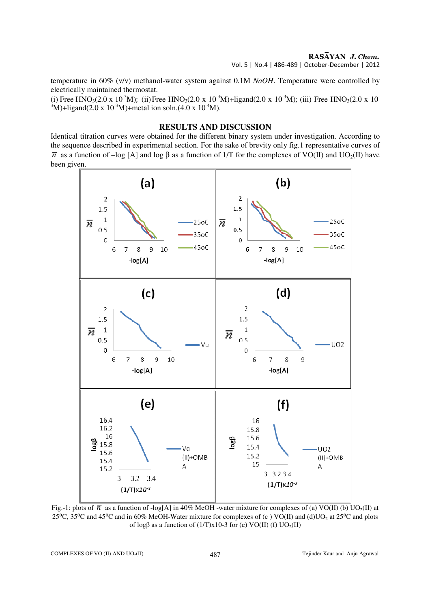temperature in 60% (v/v) methanol-water system against 0.1M *NaOH*. Temperature were controlled by electrically maintained thermostat.

(i) Free HNO<sub>3</sub>(2.0 x 10<sup>-3</sup>M); (ii) Free HNO<sub>3</sub>(2.0 x 10<sup>-3</sup>M)+ligand(2.0 x 10<sup>-3</sup>M); (iii) Free HNO<sub>3</sub>(2.0 x 10<sup>-</sup>  $3^3$ M)+ligand(2.0 x 10<sup>-3</sup>M)+metal ion soln.(4.0 x 10<sup>-4</sup>M).

## **RESULTS AND DISCUSSION**

Identical titration curves were obtained for the different binary system under investigation. According to the sequence described in experimental section. For the sake of brevity only fig.1 representative curves of  $\bar{n}$  as a function of –log [A] and log β as a function of 1/T for the complexes of VO(II) and UO<sub>2</sub>(II) have been given.



Fig.-1: plots of  $\overline{n}$  as a function of -log[A] in 40% MeOH -water mixture for complexes of (a) VO(II) (b) UO<sub>2</sub>(II) at 25 $°C$ , 35 $°C$  and 45 $°C$  and in 60% MeOH-Water mixture for complexes of (c) VO(II) and (d)UO<sub>2</sub> at 25 $°C$  and plots of log $\beta$  as a function of (1/T)x10-3 for (e) VO(II) (f) UO<sub>2</sub>(II)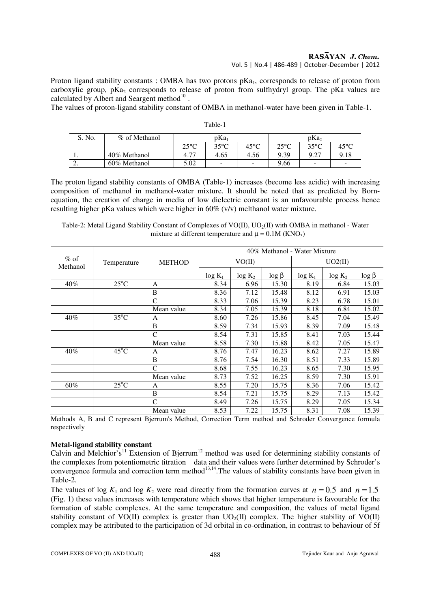Proton ligand stability constants : OMBA has two protons pKa<sub>1</sub>, corresponds to release of proton from carboxylic group,  $pKa_2$  corresponds to release of proton from sulfhydryl group. The pKa values are calculated by Albert and Seargent method $^{10}$ .

The values of proton-ligand stability constant of OMBA in methanol-water have been given in Table-1.

| S. No.   | % of Methanol | pKa <sub>1</sub> |                          |                | pKa <sub>2</sub> |                |                          |  |
|----------|---------------|------------------|--------------------------|----------------|------------------|----------------|--------------------------|--|
|          |               | $25^{\circ}$ C   | $35^{\circ}$ C           | $45^{\circ}$ C | $25^{\circ}$ C   | $35^{\circ}$ C | $45^{\circ}$ C           |  |
| . .      | 40% Methanol  | 4.77             | 4.65                     | 4.56           | 9.39             | 9.27           | 9.18                     |  |
| <u>.</u> | 60% Methanol  | 5.02             | $\overline{\phantom{a}}$ | -              | 9.66             | -              | $\overline{\phantom{0}}$ |  |

Table-1

The proton ligand stability constants of OMBA (Table-1) increases (become less acidic) with increasing composition of methanol in methanol-water mixture. It should be noted that as predicted by Bornequation, the creation of charge in media of low dielectric constant is an unfavourable process hence resulting higher pKa values which were higher in 60% (v/v) melthanol water mixture.

Table-2: Metal Ligand Stability Constant of Complexes of VO(II), UO<sub>2</sub>(II) with OMBA in methanol - Water mixture at different temperature and  $\mu = 0.1M$  (KNO<sub>3</sub>)

|                    |                |               | 40% Methanol - Water Mixture |           |              |           |           |              |
|--------------------|----------------|---------------|------------------------------|-----------|--------------|-----------|-----------|--------------|
| $%$ of<br>Methanol | Temperature    | <b>METHOD</b> | VO(II)                       |           |              | UO2(II)   |           |              |
|                    |                |               | $log K_1$                    | $log K_2$ | $\log \beta$ | $log K_1$ | $log K_2$ | $\log \beta$ |
| 40%                | $25^{\circ}$ C | A             | 8.34                         | 6.96      | 15.30        | 8.19      | 6.84      | 15.03        |
|                    |                | B             | 8.36                         | 7.12      | 15.48        | 8.12      | 6.91      | 15.03        |
|                    |                | $\mathsf{C}$  | 8.33                         | 7.06      | 15.39        | 8.23      | 6.78      | 15.01        |
|                    |                | Mean value    | 8.34                         | 7.05      | 15.39        | 8.18      | 6.84      | 15.02        |
| 40%                | $35^{\circ}$ C | A             | 8.60                         | 7.26      | 15.86        | 8.45      | 7.04      | 15.49        |
|                    |                | B             | 8.59                         | 7.34      | 15.93        | 8.39      | 7.09      | 15.48        |
|                    |                | C             | 8.54                         | 7.31      | 15.85        | 8.41      | 7.03      | 15.44        |
|                    |                | Mean value    | 8.58                         | 7.30      | 15.88        | 8.42      | 7.05      | 15.47        |
| 40%                | $45^{\circ}$ C | A             | 8.76                         | 7.47      | 16.23        | 8.62      | 7.27      | 15.89        |
|                    |                | B             | 8.76                         | 7.54      | 16.30        | 8.51      | 7.33      | 15.89        |
|                    |                | $\mathcal{C}$ | 8.68                         | 7.55      | 16.23        | 8.65      | 7.30      | 15.95        |
|                    |                | Mean value    | 8.73                         | 7.52      | 16.25        | 8.59      | 7.30      | 15.91        |
| 60%                | $25^{\circ}$ C | A             | 8.55                         | 7.20      | 15.75        | 8.36      | 7.06      | 15.42        |
|                    |                | B             | 8.54                         | 7.21      | 15.75        | 8.29      | 7.13      | 15.42        |
|                    |                | C             | 8.49                         | 7.26      | 15.75        | 8.29      | 7.05      | 15.34        |
|                    |                | Mean value    | 8.53                         | 7.22      | 15.75        | 8.31      | 7.08      | 15.39        |

Methods A, B and C represent Bjerrum's Method, Correction Term method and Schroder Convergence formula respectively

## **Metal-ligand stability constant**

Calvin and Melchior's<sup>11</sup> Extension of Bjerrum<sup>12</sup> method was used for determining stability constants of the complexes from potentiometric titration data and their values were further determined by Schroder's convergence formula and correction term method $13,14$ . The values of stability constants have been given in Table-2.

The values of log  $K_1$  and log  $K_2$  were read directly from the formation curves at  $\bar{n} = 0.5$  and  $\bar{n} = 1.5$ (Fig. 1) these values increases with temperature which shows that higher temperature is favourable for the formation of stable complexes. At the same temperature and composition, the values of metal ligand stability constant of VO(II) complex is greater than  $UO<sub>2</sub>(II)$  complex. The higher stability of VO(II) complex may be attributed to the participation of 3d orbital in co-ordination, in contrast to behaviour of 5f